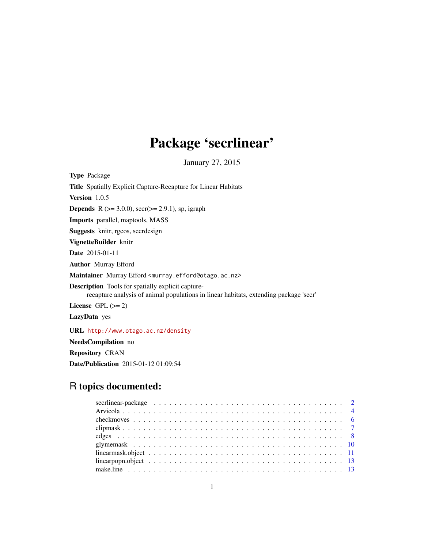## Package 'secrlinear'

January 27, 2015

<span id="page-0-0"></span>Type Package Title Spatially Explicit Capture-Recapture for Linear Habitats Version 1.0.5 **Depends** R ( $>= 3.0.0$ ), secr( $>= 2.9.1$ ), sp, igraph Imports parallel, maptools, MASS Suggests knitr, rgeos, secrdesign VignetteBuilder knitr Date 2015-01-11 Author Murray Efford Maintainer Murray Efford <murray.efford@otago.ac.nz> Description Tools for spatially explicit capturerecapture analysis of animal populations in linear habitats, extending package 'secr' License GPL  $(>= 2)$ LazyData yes URL <http://www.otago.ac.nz/density> NeedsCompilation no Repository CRAN

## R topics documented:

Date/Publication 2015-01-12 01:09:54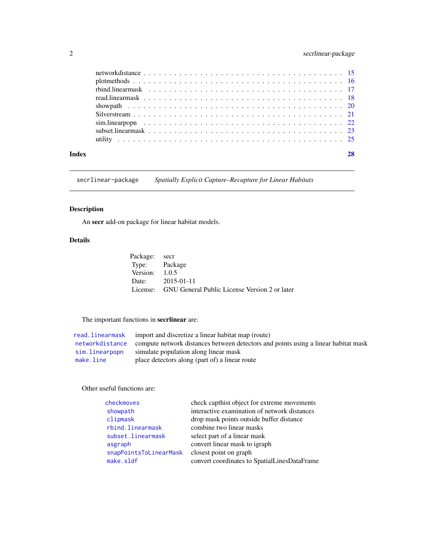## <span id="page-1-0"></span>2 secrlinear-package

| Index |                                                                                                                                                                       |  |
|-------|-----------------------------------------------------------------------------------------------------------------------------------------------------------------------|--|
|       |                                                                                                                                                                       |  |
|       | subset linearmask $\ldots$ , $\ldots$ , $\ldots$ , $\ldots$ , $\ldots$ , $\ldots$ , $\ldots$ , $\ldots$ , $\ldots$ , $\ldots$ , $\ldots$ , $\ldots$ , $\frac{23}{23}$ |  |
|       |                                                                                                                                                                       |  |
|       |                                                                                                                                                                       |  |
|       |                                                                                                                                                                       |  |
|       |                                                                                                                                                                       |  |
|       |                                                                                                                                                                       |  |
|       |                                                                                                                                                                       |  |
|       |                                                                                                                                                                       |  |

secrlinear-package *Spatially Explicit Capture–Recapture for Linear Habitats*

## Description

An secr add-on package for linear habitat models.

## Details

| Package: secr    |                                                        |
|------------------|--------------------------------------------------------|
| Type: Package    |                                                        |
| Version: $1.0.5$ |                                                        |
|                  | Date: 2015-01-11                                       |
|                  | License: GNU General Public License Version 2 or later |

## The important functions in secrlinear are:

|                | read. linearmask import and discretize a linear habitat map (route)                                |
|----------------|----------------------------------------------------------------------------------------------------|
|                | networkdistance compute network distances between detectors and points using a linear habitat mask |
| sim.linearpopn | simulate population along linear mask                                                              |
| make.line      | place detectors along (part of) a linear route                                                     |

## Other useful functions are:

| checkmoves             | check capthist object for extreme movements  |
|------------------------|----------------------------------------------|
| showpath               | interactive examination of network distances |
| clipmask               | drop mask points outside buffer distance     |
| rbind.linearmask       | combine two linear masks                     |
| subset.linearmask      | select part of a linear mask                 |
| asgraph                | convert linear mask to igraph                |
| snapPointsToLinearMask | closest point on graph                       |
| make.sldf              | convert coordinates to SpatialLinesDataFrame |
|                        |                                              |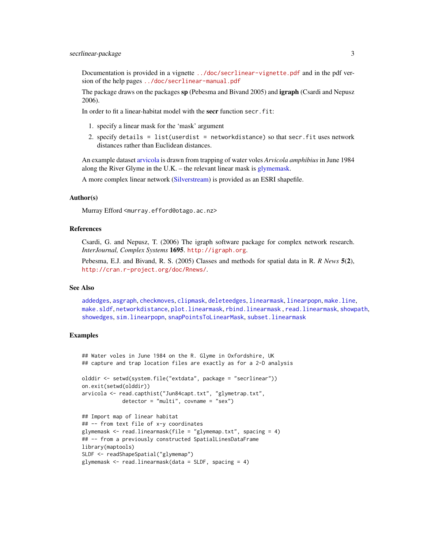<span id="page-2-0"></span>Documentation is provided in a vignette <../doc/secrlinear-vignette.pdf> and in the pdf version of the help pages <../doc/secrlinear-manual.pdf>

The package draws on the packages sp (Pebesma and Bivand 2005) and **igraph** (Csardi and Nepusz 2006).

In order to fit a linear-habitat model with the secr function secr.fit:

- 1. specify a linear mask for the 'mask' argument
- 2. specify details = list(userdist = networkdistance) so that secr.fit uses network distances rather than Euclidean distances.

An example dataset [arvicola](#page-3-1) is drawn from trapping of water voles *Arvicola amphibius* in June 1984 along the River Glyme in the U.K. – the relevant linear mask is [glymemask.](#page-9-1)

A more complex linear network [\(Silverstream\)](#page-20-1) is provided as an ESRI shapefile.

## Author(s)

Murray Efford <murray.efford@otago.ac.nz>

## References

Csardi, G. and Nepusz, T. (2006) The igraph software package for complex network research. *InterJournal, Complex Systems* 1695. <http://igraph.org>.

Pebesma, E.J. and Bivand, R. S. (2005) Classes and methods for spatial data in R. *R News* 5(2), <http://cran.r-project.org/doc/Rnews/>.

#### See Also

[addedges](#page-7-1), [asgraph](#page-24-1), [checkmoves](#page-5-1), [clipmask](#page-6-1), [deleteedges](#page-7-1), [linearmask](#page-10-1), [linearpopn](#page-12-2), [make.line](#page-12-1), [make.sldf](#page-24-1), [networkdistance](#page-14-1), [plot.linearmask](#page-15-1), [rbind.linearmask](#page-16-1) , [read.linearmask](#page-17-1), [showpath](#page-19-1), [showedges](#page-7-1), [sim.linearpopn](#page-21-1), [snapPointsToLinearMask](#page-24-1), [subset.linearmask](#page-22-1)

## Examples

## Water voles in June 1984 on the R. Glyme in Oxfordshire, UK ## capture and trap location files are exactly as for a 2-D analysis

```
olddir <- setwd(system.file("extdata", package = "secrlinear"))
on.exit(setwd(olddir))
arvicola <- read.capthist("Jun84capt.txt", "glymetrap.txt",
              \text{detector} = "multi", \text{ covariance} = "sex")
```

```
## Import map of linear habitat
## -- from text file of x-y coordinates
glymemask \le read.linearmask(file = "glymemap.txt", spacing = 4)
## -- from a previously constructed SpatialLinesDataFrame
library(maptools)
SLDF <- readShapeSpatial("glymemap")
glymemask <- read.linearmask(data = SLDF, spacing = 4)
```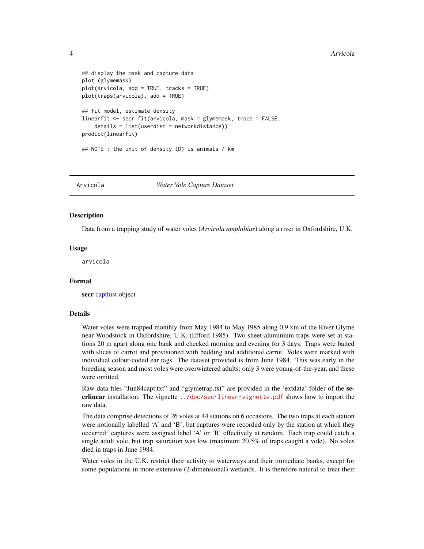```
## display the mask and capture data
plot (glymemask)
plot(arvicola, add = TRUE, tracks = TRUE)
plot(traps(arvicola), add = TRUE)
## fit model, estimate density
linearfit <- secr.fit(arvicola, mask = glymemask, trace = FALSE,
    details = list(userdist = networkdistance))
predict(linearfit)
## NOTE : the unit of density (D) is animals / km
```
#### Arvicola *Water Vole Capture Dataset*

#### <span id="page-3-1"></span>**Description**

Data from a trapping study of water voles (*Arvicola amphibius*) along a river in Oxfordshire, U.K.

#### Usage

arvicola

#### Format

secr [capthist](#page-0-0) object

## Details

Water voles were trapped monthly from May 1984 to May 1985 along 0.9 km of the River Glyme near Woodstock in Oxfordshire, U.K. (Efford 1985). Two sheet-aluminium traps were set at stations 20 m apart along one bank and checked morning and evening for 3 days. Traps were baited with slices of carrot and provisioned with bedding and additional carrot. Voles were marked with individual colour-coded ear tags. The dataset provided is from June 1984. This was early in the breeding season and most voles were overwintered adults; only 3 were young-of-the-year, and these were omitted.

Raw data files "Jun84capt.txt" and "glymetrap.txt" are provided in the 'extdata' folder of the secrlinear installation. The vignette <../doc/secrlinear-vignette.pdf> shows how to import the raw data.

The data comprise detections of 26 voles at 44 stations on 6 occasions. The two traps at each station were notionally labelled 'A' and 'B', but captures were recorded only by the station at which they occurred: captures were assigned label 'A' or 'B' effectively at random. Each trap could catch a single adult vole, but trap saturation was low (maximum 20.5% of traps caught a vole). No voles died in traps in June 1984.

Water voles in the U.K. restrict their activity to waterways and their immediate banks, except for some populations in more extensive (2-dimensional) wetlands. It is therefore natural to treat their

<span id="page-3-0"></span>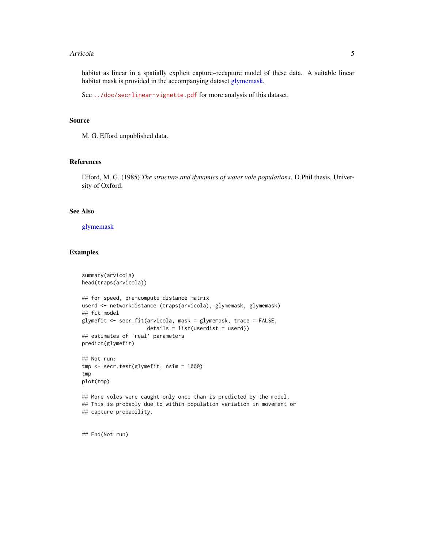#### <span id="page-4-0"></span>Arvicola 5

habitat as linear in a spatially explicit capture–recapture model of these data. A suitable linear habitat mask is provided in the accompanying dataset [glymemask.](#page-9-1)

See <../doc/secrlinear-vignette.pdf> for more analysis of this dataset.

#### Source

M. G. Efford unpublished data.

## References

Efford, M. G. (1985) *The structure and dynamics of water vole populations*. D.Phil thesis, University of Oxford.

## See Also

[glymemask](#page-9-1)

#### Examples

```
summary(arvicola)
head(traps(arvicola))
## for speed, pre-compute distance matrix
userd <- networkdistance (traps(arvicola), glymemask, glymemask)
## fit model
glymefit <- secr.fit(arvicola, mask = glymemask, trace = FALSE,
                     details = list(userdist = userd))
## estimates of 'real' parameters
predict(glymefit)
## Not run:
tmp <- secr.test(glymefit, nsim = 1000)
tmp
plot(tmp)
## More voles were caught only once than is predicted by the model.
## This is probably due to within-population variation in movement or
## capture probability.
```
## End(Not run)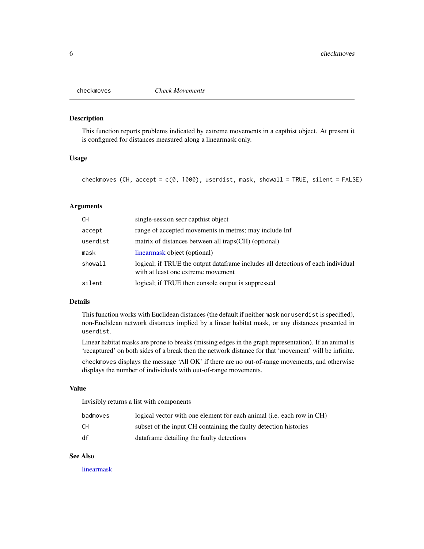<span id="page-5-1"></span><span id="page-5-0"></span>

## Description

This function reports problems indicated by extreme movements in a capthist object. At present it is configured for distances measured along a linearmask only.

## Usage

checkmoves (CH,  $accept = c(0, 1000)$ , userdist, mask, showall = TRUE, silent = FALSE)

## Arguments

| СH       | single-session secr capthist object                                                                                    |
|----------|------------------------------------------------------------------------------------------------------------------------|
| accept   | range of accepted movements in metres; may include Inf                                                                 |
| userdist | matrix of distances between all traps (CH) (optional)                                                                  |
| mask     | linearmask object (optional)                                                                                           |
| showall  | logical; if TRUE the output dataframe includes all detections of each individual<br>with at least one extreme movement |
| silent   | logical; if TRUE then console output is suppressed                                                                     |

## Details

This function works with Euclidean distances (the default if neither mask nor userdist is specified), non-Euclidean network distances implied by a linear habitat mask, or any distances presented in userdist.

Linear habitat masks are prone to breaks (missing edges in the graph representation). If an animal is 'recaptured' on both sides of a break then the network distance for that 'movement' will be infinite.

checkmoves displays the message 'All OK' if there are no out-of-range movements, and otherwise displays the number of individuals with out-of-range movements.

### Value

Invisibly returns a list with components

| badmoves | logical vector with one element for each animal (i.e. each row in CH) |
|----------|-----------------------------------------------------------------------|
| CН       | subset of the input CH containing the faulty detection histories      |
| df       | data frame detailing the faulty detections                            |

## See Also

[linearmask](#page-10-1)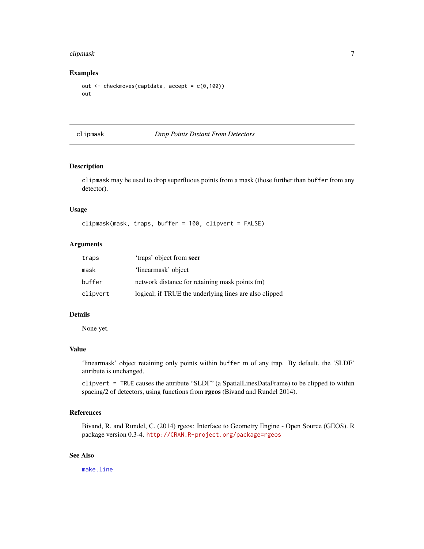#### <span id="page-6-0"></span>clipmask and the contract of the contract of the contract of the contract of the contract of the contract of the contract of the contract of the contract of the contract of the contract of the contract of the contract of t

## Examples

```
out <- checkmoves(captdata, accept = c(0,100))
out
```
## <span id="page-6-1"></span>clipmask *Drop Points Distant From Detectors*

## Description

clipmask may be used to drop superfluous points from a mask (those further than buffer from any detector).

## Usage

clipmask(mask, traps, buffer = 100, clipvert = FALSE)

## Arguments

| traps    | 'traps' object from secr                               |
|----------|--------------------------------------------------------|
| mask     | 'linearmask' object                                    |
| buffer   | network distance for retaining mask points (m)         |
| clipvert | logical; if TRUE the underlying lines are also clipped |

#### Details

None yet.

#### Value

'linearmask' object retaining only points within buffer m of any trap. By default, the 'SLDF' attribute is unchanged.

clipvert = TRUE causes the attribute "SLDF" (a SpatialLinesDataFrame) to be clipped to within spacing/2 of detectors, using functions from **rgeos** (Bivand and Rundel 2014).

## References

Bivand, R. and Rundel, C. (2014) rgeos: Interface to Geometry Engine - Open Source (GEOS). R package version 0.3-4. <http://CRAN.R-project.org/package=rgeos>

## See Also

[make.line](#page-12-1)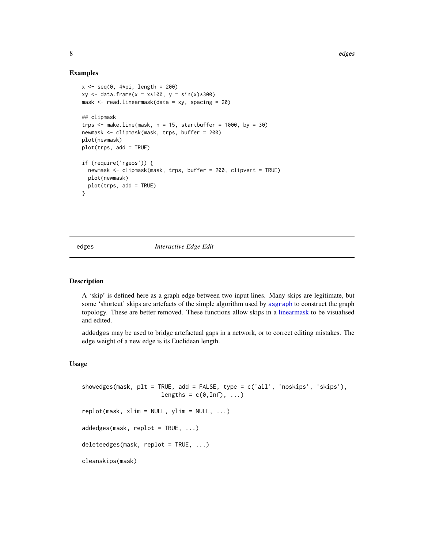## Examples

```
x \leq -\text{seq}(0, 4*pi, length = 200)xy \le - data.frame(x = x*100, y = sin(x)*300)
mask <- read.linearmask(data = xy, spacing = 20)
## clipmask
trps \le make.line(mask, n = 15, startbuffer = 1000, by = 30)
newmask <- clipmask(mask, trps, buffer = 200)
plot(newmask)
plot(trps, add = TRUE)
if (require('rgeos')) {
  newmask <- clipmask(mask, trps, buffer = 200, clipvert = TRUE)
  plot(newmask)
  plot(trps, add = TRUE)
}
```
<span id="page-7-2"></span>edges *Interactive Edge Edit*

## <span id="page-7-1"></span>**Description**

A 'skip' is defined here as a graph edge between two input lines. Many skips are legitimate, but some 'shortcut' skips are artefacts of the simple algorithm used by [asgraph](#page-24-1) to construct the graph topology. These are better removed. These functions allow skips in a [linearmask](#page-10-1) to be visualised and edited.

addedges may be used to bridge artefactual gaps in a network, or to correct editing mistakes. The edge weight of a new edge is its Euclidean length.

## Usage

```
showedges(mask, plt = TRUE, add = FALSE, type = c('all', 'noskips', 'skips'),
                        lengths = c(\emptyset, \text{Inf}), \ldots)replot(maxk, xlim = NULL, ylim = NULL, ...)addedeges(mask, replot = TRUE, ...)deleteedges(mask, replot = TRUE, ...)
cleanskips(mask)
```
<span id="page-7-0"></span>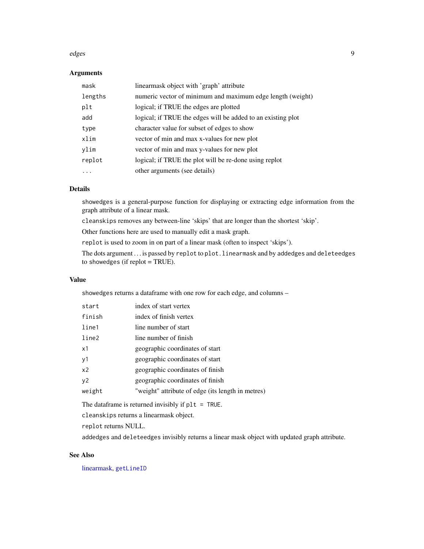#### <span id="page-8-0"></span>edges to the control of the control of the control of the control of the control of the control of the control of the control of the control of the control of the control of the control of the control of the control of the

## Arguments

| mask    | linearmask object with 'graph' attribute                     |
|---------|--------------------------------------------------------------|
| lengths | numeric vector of minimum and maximum edge length (weight)   |
| plt     | logical; if TRUE the edges are plotted                       |
| add     | logical; if TRUE the edges will be added to an existing plot |
| type    | character value for subset of edges to show                  |
| xlim    | vector of min and max x-values for new plot                  |
| ylim    | vector of min and max y-values for new plot                  |
| replot  | logical; if TRUE the plot will be re-done using replot       |
|         | other arguments (see details)                                |

## Details

showedges is a general-purpose function for displaying or extracting edge information from the graph attribute of a linear mask.

cleanskips removes any between-line 'skips' that are longer than the shortest 'skip'.

Other functions here are used to manually edit a mask graph.

replot is used to zoom in on part of a linear mask (often to inspect 'skips').

The dots argument . . . is passed by replot to plot.linearmask and by addedges and deleteedges to showedges (if replot = TRUE).

#### Value

showedges returns a dataframe with one row for each edge, and columns –

| start          | index of start vertex                             |
|----------------|---------------------------------------------------|
| finish         | index of finish vertex                            |
| line1          | line number of start                              |
| line2          | line number of finish                             |
| x1             | geographic coordinates of start                   |
| y1             | geographic coordinates of start                   |
| x <sub>2</sub> | geographic coordinates of finish                  |
| y2             | geographic coordinates of finish                  |
| weight         | "weight" attribute of edge (its length in metres) |
|                |                                                   |

The dataframe is returned invisibly if plt = TRUE.

cleanskips returns a linearmask object.

replot returns NULL.

addedges and deleteedges invisibly returns a linear mask object with updated graph attribute.

## See Also

[linearmask,](#page-10-1) [getLineID](#page-24-1)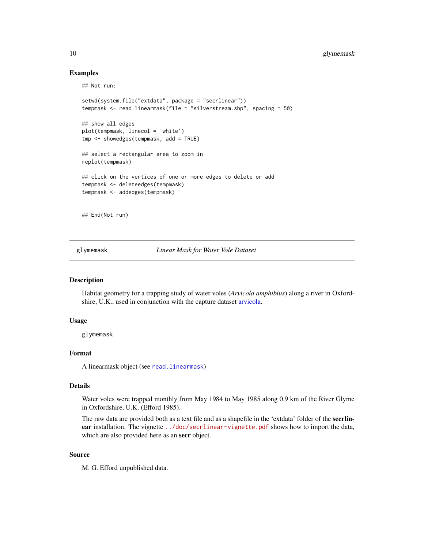## Examples

## Not run:

```
setwd(system.file("extdata", package = "secrlinear"))
tempmask <- read.linearmask(file = "silverstream.shp", spacing = 50)
## show all edges
plot(tempmask, linecol = 'white')
tmp <- showedges(tempmask, add = TRUE)
## select a rectangular area to zoom in
replot(tempmask)
## click on the vertices of one or more edges to delete or add
tempmask <- deleteedges(tempmask)
tempmask <- addedges(tempmask)
## End(Not run)
```
<span id="page-9-1"></span>glymemask *Linear Mask for Water Vole Dataset*

## Description

Habitat geometry for a trapping study of water voles (*Arvicola amphibius*) along a river in Oxfordshire, U.K., used in conjunction with the capture dataset [arvicola.](#page-3-1)

## Usage

glymemask

## Format

A linearmask object (see [read.linearmask](#page-17-1))

## Details

Water voles were trapped monthly from May 1984 to May 1985 along 0.9 km of the River Glyme in Oxfordshire, U.K. (Efford 1985).

The raw data are provided both as a text file and as a shapefile in the 'extdata' folder of the secrlin-ear installation. The vignette <../doc/secrlinear-vignette.pdf> shows how to import the data, which are also provided here as an **secr** object.

#### Source

M. G. Efford unpublished data.

<span id="page-9-0"></span>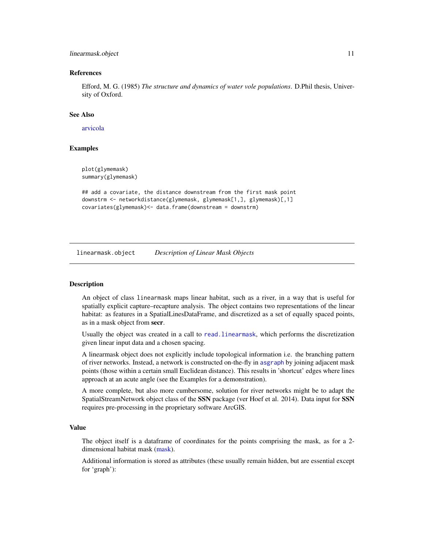#### <span id="page-10-0"></span>linearmask.object 11

#### References

Efford, M. G. (1985) *The structure and dynamics of water vole populations*. D.Phil thesis, University of Oxford.

#### See Also

## [arvicola](#page-3-1)

## Examples

```
plot(glymemask)
summary(glymemask)
```

```
## add a covariate, the distance downstream from the first mask point
downstrm <- networkdistance(glymemask, glymemask[1,], glymemask)[,1]
covariates(glymemask)<- data.frame(downstream = downstrm)
```
linearmask.object *Description of Linear Mask Objects*

#### <span id="page-10-1"></span>**Description**

An object of class linearmask maps linear habitat, such as a river, in a way that is useful for spatially explicit capture–recapture analysis. The object contains two representations of the linear habitat: as features in a SpatialLinesDataFrame, and discretized as a set of equally spaced points, as in a mask object from secr.

Usually the object was created in a call to [read.linearmask](#page-17-1), which performs the discretization given linear input data and a chosen spacing.

A linearmask object does not explicitly include topological information i.e. the branching pattern of river networks. Instead, a network is constructed on-the-fly in [asgraph](#page-24-1) by joining adjacent mask points (those within a certain small Euclidean distance). This results in 'shortcut' edges where lines approach at an acute angle (see the Examples for a demonstration).

A more complete, but also more cumbersome, solution for river networks might be to adapt the SpatialStreamNetwork object class of the SSN package (ver Hoef et al. 2014). Data input for SSN requires pre-processing in the proprietary software ArcGIS.

#### Value

The object itself is a dataframe of coordinates for the points comprising the mask, as for a 2 dimensional habitat mask [\(mask\)](#page-0-0).

Additional information is stored as attributes (these usually remain hidden, but are essential except for 'graph'):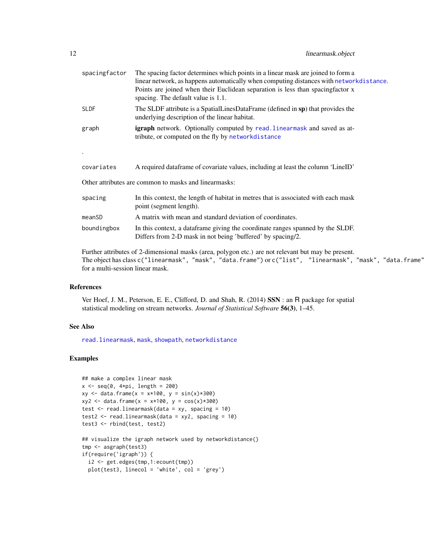<span id="page-11-0"></span>

| $\sim$ | linearmask.object |
|--------|-------------------|
|--------|-------------------|

| spacingfactor | The spacing factor determines which points in a linear mask are joined to form a<br>linear network, as happens automatically when computing distances with networkdistance.<br>Points are joined when their Euclidean separation is less than spacingfactor x<br>spacing. The default value is 1.1. |
|---------------|-----------------------------------------------------------------------------------------------------------------------------------------------------------------------------------------------------------------------------------------------------------------------------------------------------|
| <b>SLDF</b>   | The SLDF attribute is a SpatialLinesDataFrame (defined in sp) that provides the<br>underlying description of the linear habitat.                                                                                                                                                                    |
| graph         | <b>igraph</b> network. Optionally computed by read. Linearmask and saved as at-<br>tribute, or computed on the fly by networkdistance                                                                                                                                                               |
|               |                                                                                                                                                                                                                                                                                                     |
| covariates    | A required dataframe of covariate values, including at least the column 'LineID'                                                                                                                                                                                                                    |
|               | Other attributes are common to masks and linearmasks:                                                                                                                                                                                                                                               |
| spacing       | In this context, the length of habitat in metres that is associated with each mask<br>point (segment length).                                                                                                                                                                                       |
| meanSD        | A matrix with mean and standard deviation of coordinates.                                                                                                                                                                                                                                           |
| boundingbox   | In this context, a dataframe giving the coordinate ranges spanned by the SLDF.<br>Differs from 2-D mask in not being 'buffered' by spacing/2.                                                                                                                                                       |

Further attributes of 2-dimensional masks (area, polygon etc.) are not relevant but may be present. The object has class c("linearmask", "mask", "data.frame") or c("list", "linearmask", "mask", "data.frame") for a multi-session linear mask.

#### References

Ver Hoef, J. M., Peterson, E. E., Clifford, D. and Shah, R. (2014) SSN : an R package for spatial statistical modeling on stream networks. *Journal of Statistical Software* 56(3), 1–45.

## See Also

[read.linearmask](#page-17-1), [mask](#page-0-0), [showpath](#page-19-1), [networkdistance](#page-14-1)

## Examples

```
## make a complex linear mask
x \leq -\text{seq}(0, 4 \times pi, \text{length} = 200)xy \le - data.frame(x = x*100, y = sin(x)*300)
xyz \leq data. frame(x = x*100, y = cos(x)*300)
test \le read.linearmask(data = xy, spacing = 10)
test2 <- read.linearmask(data = xyz, spacing = 10)
test3 <- rbind(test, test2)
## visualize the igraph network used by networkdistance()
tmp <- asgraph(test3)
if(require('igraph')) {
  i2 <- get.edges(tmp,1:ecount(tmp))
  plot(test3, linecol = 'white', col = 'grey')
```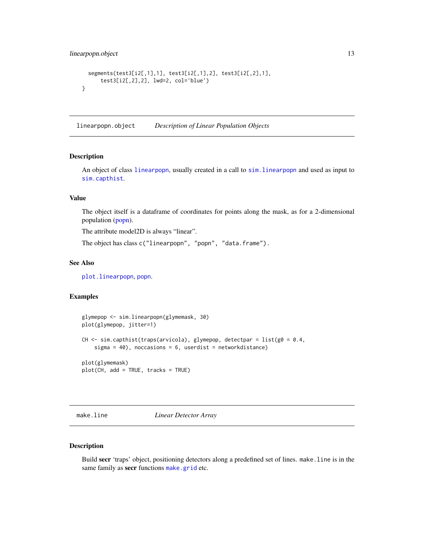```
segments(test3[i2[,1],1], test3[i2[,1],2], test3[i2[,2],1],
     test3[i2[,2],2], lwd=2, col='blue')
}
```
linearpopn.object *Description of Linear Population Objects*

## <span id="page-12-2"></span>Description

An object of class [linearpopn](#page-12-2), usually created in a call to [sim.linearpopn](#page-21-1) and used as input to [sim.capthist](#page-0-0).

## Value

The object itself is a dataframe of coordinates for points along the mask, as for a 2-dimensional population [\(popn\)](#page-0-0).

The attribute model2D is always "linear".

The object has class c("linearpopn", "popn", "data.frame").

## See Also

[plot.linearpopn](#page-15-1), [popn](#page-0-0).

## Examples

```
glymepop <- sim.linearpopn(glymemask, 30)
plot(glymepop, jitter=1)
CH \le sim.capthist(traps(arvicola), glymepop, detectpar = list(g0 = 0.4,
    sigma = 40), noccasions = 6, userdist = networkdistance)
plot(glymemask)
plot(CH, add = TRUE, tracks = TRUE)
```
<span id="page-12-1"></span>make.line *Linear Detector Array*

## Description

Build secr 'traps' object, positioning detectors along a predefined set of lines. make.line is in the same family as secr functions [make.grid](#page-0-0) etc.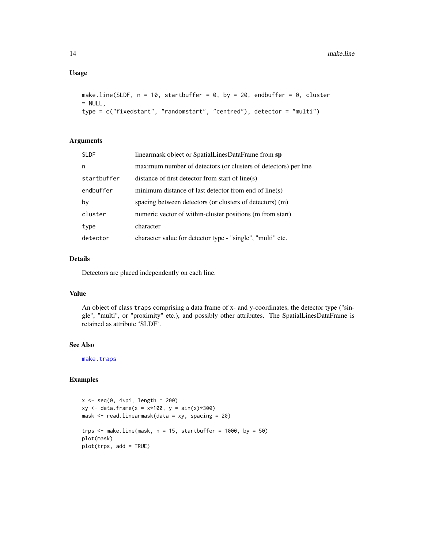## <span id="page-13-0"></span>Usage

```
make.line(SLDF, n = 10, startbuffer = 0, by = 20, endbuffer = 0, cluster
= NULL,
type = c("fixedstart", "randomstart", "centred"), detector = "multi")
```
## Arguments

| <b>SLDF</b> | linearmask object or SpatialLinesDataFrame from sp              |
|-------------|-----------------------------------------------------------------|
| n           | maximum number of detectors (or clusters of detectors) per line |
| startbuffer | distance of first detector from start of line(s)                |
| endbuffer   | minimum distance of last detector from end of line(s)           |
| by          | spacing between detectors (or clusters of detectors) (m)        |
| cluster     | numeric vector of within-cluster positions (m from start)       |
| type        | character                                                       |
| detector    | character value for detector type - "single", "multi" etc.      |

## Details

Detectors are placed independently on each line.

## Value

An object of class traps comprising a data frame of x- and y-coordinates, the detector type ("single", "multi", or "proximity" etc.), and possibly other attributes. The SpatialLinesDataFrame is retained as attribute 'SLDF'.

## See Also

[make.traps](#page-0-0)

## Examples

```
x \leftarrow \text{seq}(0, 4 \times \text{pi}, \text{ length} = 200)xy \leq - data.frame(x = x*100, y = sin(x)*300)
mask <- read.linearmask(data = xy, spacing = 20)
trps \le make.line(mask, n = 15, startbuffer = 1000, by = 50)
plot(mask)
plot(trps, add = TRUE)
```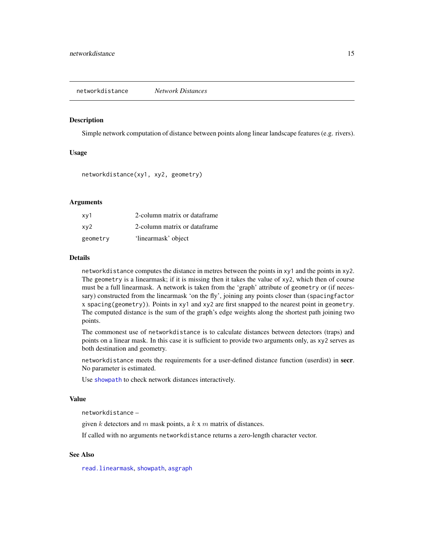<span id="page-14-1"></span><span id="page-14-0"></span>networkdistance *Network Distances*

#### **Description**

Simple network computation of distance between points along linear landscape features (e.g. rivers).

## Usage

networkdistance(xy1, xy2, geometry)

#### Arguments

| xy1      | 2-column matrix or dataframe |
|----------|------------------------------|
| xy2      | 2-column matrix or dataframe |
| geometry | 'linearmask' object          |

#### Details

networkdistance computes the distance in metres between the points in xy1 and the points in xy2. The geometry is a linearmask; if it is missing then it takes the value of xy2, which then of course must be a full linearmask. A network is taken from the 'graph' attribute of geometry or (if necessary) constructed from the linearmask 'on the fly', joining any points closer than (spacingfactor x spacing(geometry)). Points in xy1 and xy2 are first snapped to the nearest point in geometry. The computed distance is the sum of the graph's edge weights along the shortest path joining two points.

The commonest use of networkdistance is to calculate distances between detectors (traps) and points on a linear mask. In this case it is sufficient to provide two arguments only, as xy2 serves as both destination and geometry.

networkdistance meets the requirements for a user-defined distance function (userdist) in secr. No parameter is estimated.

Use [showpath](#page-19-1) to check network distances interactively.

#### Value

networkdistance –

given  $k$  detectors and  $m$  mask points, a  $k \times m$  matrix of distances.

If called with no arguments networkdistance returns a zero-length character vector.

## See Also

[read.linearmask](#page-17-1), [showpath](#page-19-1), [asgraph](#page-24-1)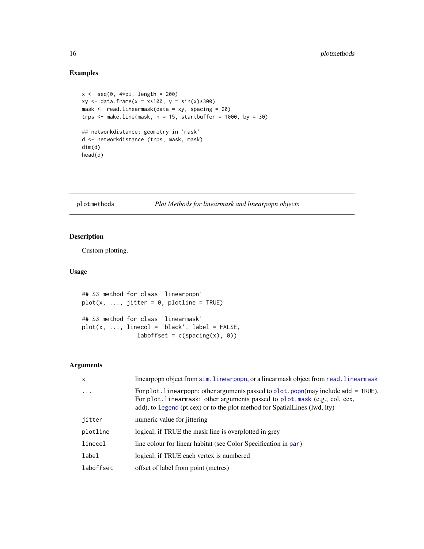## Examples

```
x \leftarrow \text{seq}(0, 4 \times pi, \text{ length} = 200)xy \leq - data.frame(x = x*100, y = sin(x)*300)
mask <- read.linearmask(data = xy, spacing = 20)
trps \leq make.line(mask, n = 15, startbuffer = 1000, by = 30)
## networkdistance; geometry in 'mask'
d <- networkdistance (trps, mask, mask)
dim(d)
head(d)
```
plotmethods *Plot Methods for linearmask and linearpopn objects*

## <span id="page-15-1"></span>Description

Custom plotting.

## Usage

```
## S3 method for class 'linearpopn'
plot(x, ..., jitter = 0, plotline = TRUE)## S3 method for class 'linearmask'
plot(x, ..., linecol = 'black', label = FALSE,laborfset = c(spacing(x), 0)
```
## Arguments

| $\boldsymbol{\mathsf{x}}$ | linearpopn object from sim. linearpopn, or a linearmask object from read. linearmask                                                                                                                                                                 |
|---------------------------|------------------------------------------------------------------------------------------------------------------------------------------------------------------------------------------------------------------------------------------------------|
| $\cdots$                  | For plot. linear popn: other arguments passed to plot. popn(may include add = $TRUE$ ).<br>For plot. linearmask: other arguments passed to plot. mask (e.g., col, cex,<br>add), to legend (pt.cex) or to the plot method for SpatialLines (lwd, lty) |
| jitter                    | numeric value for jittering                                                                                                                                                                                                                          |
| plotline                  | logical; if TRUE the mask line is overplotted in grey                                                                                                                                                                                                |
| linecol                   | line colour for linear habitat (see Color Specification in par)                                                                                                                                                                                      |
| label                     | logical; if TRUE each vertex is numbered                                                                                                                                                                                                             |
| laboffset                 | offset of label from point (metres)                                                                                                                                                                                                                  |

<span id="page-15-0"></span>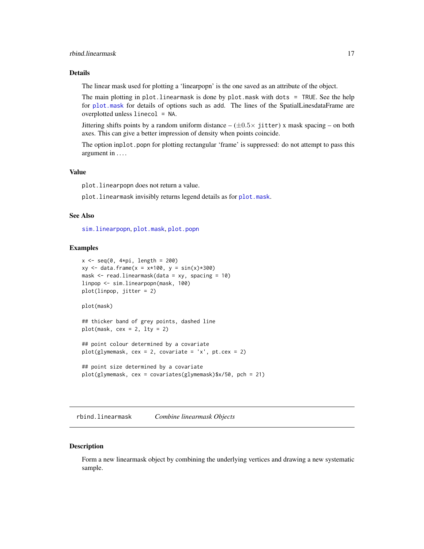## <span id="page-16-0"></span>rbind.linearmask 17

## Details

The linear mask used for plotting a 'linearpopn' is the one saved as an attribute of the object.

The main plotting in plot.linearmask is done by plot.mask with dots = TRUE. See the help for [plot.mask](#page-0-0) for details of options such as add. The lines of the SpatialLinesdataFrame are overplotted unless linecol = NA.

Jittering shifts points by a random uniform distance  $-(\pm 0.5 \times \text{jitter}) \times \text{mask spacing} - \text{on both}$ axes. This can give a better impression of density when points coincide.

The option inplot.popn for plotting rectangular 'frame' is suppressed: do not attempt to pass this argument in . . . .

#### Value

plot.linearpopn does not return a value.

plot.linearmask invisibly returns legend details as for [plot.mask](#page-0-0).

#### See Also

[sim.linearpopn](#page-21-1), [plot.mask](#page-0-0), [plot.popn](#page-0-0)

#### Examples

```
x \leftarrow \text{seq}(0, 4 \times pi, \text{ length} = 200)xy \le - data.frame(x = x*100, y = sin(x)*300)
mask \le read.linearmask(data = xy, spacing = 10)
linpop <- sim.linearpopn(mask, 100)
plot(linpop, jitter = 2)
plot(mask)
## thicker band of grey points, dashed line
plot(maxk, cex = 2, lty = 2)## point colour determined by a covariate
plot(glymemask, cex = 2, covariate = 'x', pt.cex = 2)## point size determined by a covariate
plot(glymemask, cex = covariates(glymemask)$x/50, pch = 21)
```
<span id="page-16-1"></span>rbind.linearmask *Combine linearmask Objects*

## Description

Form a new linearmask object by combining the underlying vertices and drawing a new systematic sample.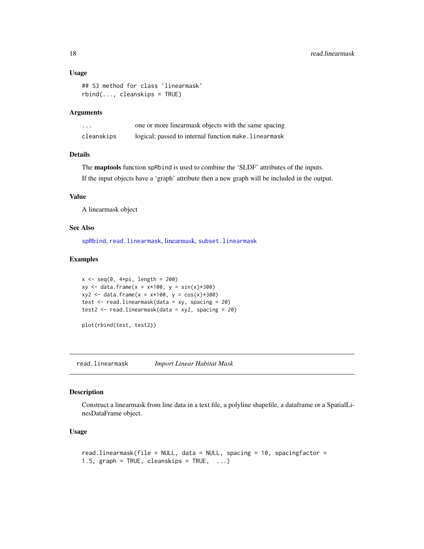#### Usage

```
## S3 method for class 'linearmask'
rbind(..., cleanskips = TRUE)
```
#### Arguments

| .          | one or more linearmask objects with the same spacing  |
|------------|-------------------------------------------------------|
| cleanskips | logical; passed to internal function make. Linearmask |

## Details

The maptools function spRbind is used to combine the 'SLDF' attributes of the inputs.

If the input objects have a 'graph' attribute then a new graph will be included in the output.

## Value

A linearmask object

#### See Also

[spRbind](#page-0-0), [read.linearmask](#page-17-1), [linearmask,](#page-10-1) [subset.linearmask](#page-22-1)

#### Examples

```
x \leftarrow \text{seq}(0, 4 \times pi, \text{ length} = 200)xy \le - data.frame(x = x*100, y = sin(x)*300)
xyz \leftarrow data . frame(x = x*100, y = cos(x)*300)test \leq read.linearmask(data = xy, spacing = 20)
test2 \le read.linearmask(data = xy2, spacing = 20)
```

```
plot(rbind(test, test2))
```
<span id="page-17-1"></span>read.linearmask *Import Linear Habitat Mask*

#### Description

Construct a linearmask from line data in a text file, a polyline shapefile, a dataframe or a SpatialLinesDataFrame object.

### Usage

```
read.linearmask(file = NULL, data = NULL, spacing = 10, spacingfactor =
1.5, graph = TRUE, cleanskips = TRUE, \ldots)
```
<span id="page-17-0"></span>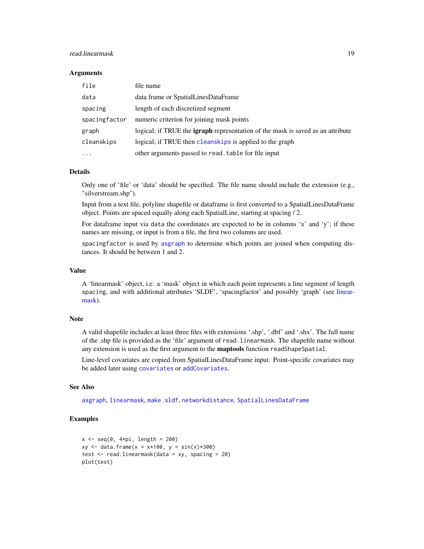## <span id="page-18-0"></span>read.linearmask 19

#### **Arguments**

| file          | file name                                                                              |
|---------------|----------------------------------------------------------------------------------------|
| data          | data frame or SpatialLinesDataFrame                                                    |
| spacing       | length of each discretized segment                                                     |
| spacingfactor | numeric criterion for joining mask points                                              |
| graph         | logical; if TRUE the <b>igraph</b> representation of the mask is saved as an attribute |
| cleanskips    | logical; if TRUE then cleanskips is applied to the graph                               |
| .             | other arguments passed to read. table for file input                                   |

#### Details

Only one of 'file' or 'data' should be specified. The file name should include the extension (e.g., "silverstream.shp").

Input from a text file, polyline shapefile or dataframe is first converted to a SpatialLinesDataFrame object. Points are spaced equally along each SpatialLine, starting at spacing / 2.

For dataframe input via data the coordinates are expected to be in columns 'x' and 'y'; if these names are missing, or input is from a file, the first two columns are used.

spacingfactor is used by [asgraph](#page-24-1) to determine which points are joined when computing distances. It should be between 1 and 2.

## Value

A 'linearmask' object, i.e. a 'mask' object in which each point represents a line segment of length spacing, and with additional attributes 'SLDF', 'spacingfactor' and possibly 'graph' (see [linear](#page-10-1)[mask\)](#page-10-1).

### Note

A valid shapefile includes at least three files with extensions '.shp', '.dbf' and '.shx'. The full name of the .shp file is provided as the 'file' argument of read.linearmask. The shapefile name without any extension is used as the first argument to the **maptools** function readShapeSpatial.

Line-level covariates are copied from SpatialLinesDataFrame input. Point-specific covariates may be added later using [covariates](#page-0-0) or [addCovariates](#page-0-0).

#### See Also

[asgraph](#page-24-1), [linearmask](#page-10-1), [make.sldf](#page-24-1), [networkdistance](#page-14-1), [SpatialLinesDataFrame](#page-0-0)

#### Examples

```
x \leq -\text{seq}(0, 4 \times pi, \text{length} = 200)xy \le - data.frame(x = x*100, y = sin(x)*300)
test <- read.linearmask(data = xy, spacing = 20)
plot(test)
```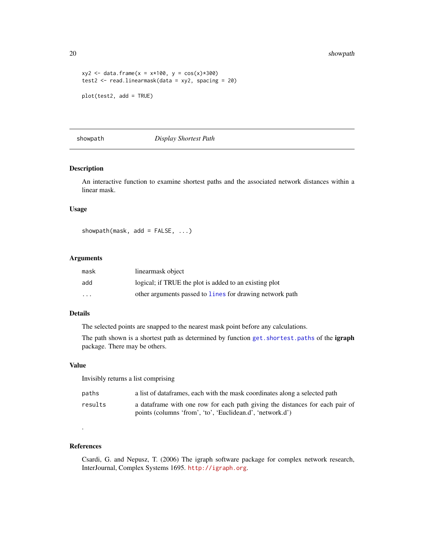<span id="page-19-0"></span>20 showpath that the state of the state of the state of the state of the state of the state of the state of the state of the state of the state of the state of the state of the state of the state of the state of the state

```
xyz \leftarrow data . frame(x = x*100, y = cos(x)*300)test2 <- read.linearmask(data = xy2, spacing = 20)
plot(test2, add = TRUE)
```
<span id="page-19-1"></span>showpath *Display Shortest Path*

## Description

An interactive function to examine shortest paths and the associated network distances within a linear mask.

## Usage

showpath(mask, add =  $FALSE, ...)$ 

#### Arguments

| mask                    | linearmask object                                        |
|-------------------------|----------------------------------------------------------|
| add                     | logical; if TRUE the plot is added to an existing plot   |
| $\cdot$ $\cdot$ $\cdot$ | other arguments passed to lines for drawing network path |

## Details

The selected points are snapped to the nearest mask point before any calculations.

The path shown is a shortest path as determined by function get. shortest.paths of the igraph package. There may be others.

## Value

Invisibly returns a list comprising

| paths   | a list of data frames, each with the mask coordinates along a selected path   |
|---------|-------------------------------------------------------------------------------|
| results | a data frame with one row for each path giving the distances for each pair of |
|         | points (columns 'from', 'to', 'Euclidean.d', 'network.d')                     |

## References

.

Csardi, G. and Nepusz, T. (2006) The igraph software package for complex network research, InterJournal, Complex Systems 1695. <http://igraph.org>.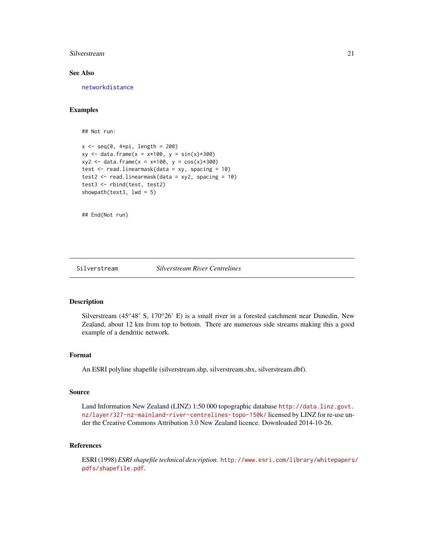#### <span id="page-20-0"></span>Silverstream 21

## See Also

[networkdistance](#page-14-1)

## Examples

## Not run:

```
x \leq -\text{seq}(0, 4*pi, length = 200)xy \le - data.frame(x = x*100, y = sin(x)*300)
xyz \leftarrow data . frame(x = x*100, y = cos(x)*300)test \leq read.linearmask(data = xy, spacing = 10)
test2 <- read.linearmask(data = xyz, spacing = 10)
test3 <- rbind(test, test2)
showpath(test3, 1wd = 5)
```
## End(Not run)

<span id="page-20-1"></span>Silverstream *Silverstream River Centrelines*

#### Description

Silverstream (45 $\degree$ 48' S, 170 $\degree$ 26' E) is a small river in a forested catchment near Dunedin, New Zealand, about 12 km from top to bottom. There are numerous side streams making this a good example of a dendritic network.

## Format

An ESRI polyline shapefile (silverstream.shp, silverstream.shx, silverstream.dbf).

#### Source

Land Information New Zealand (LINZ) 1:50 000 topographic database [http://data.linz.govt.](http://data.linz.govt.nz/layer/327-nz-mainland-river-centrelines-topo-150k/) [nz/layer/327-nz-mainland-river-centrelines-topo-150k/](http://data.linz.govt.nz/layer/327-nz-mainland-river-centrelines-topo-150k/) licensed by LINZ for re-use under the Creative Commons Attribution 3.0 New Zealand licence. Downloaded 2014-10-26.

## References

ESRI (1998) *ESRI shapefile technical description*. [http://www.esri.com/library/whitepapers/](http://www.esri.com/library/whitepapers/pdfs/shapefile.pdf) [pdfs/shapefile.pdf](http://www.esri.com/library/whitepapers/pdfs/shapefile.pdf).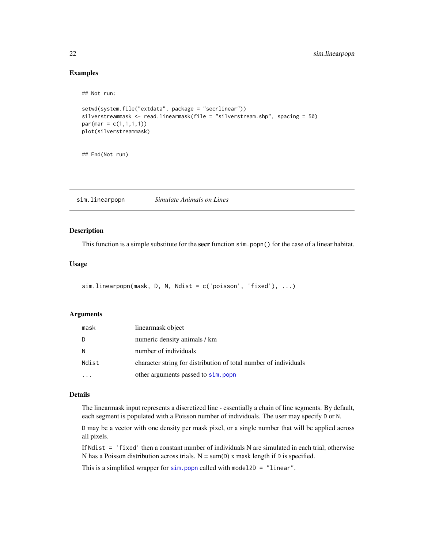## Examples

```
## Not run:
setwd(system.file("extdata", package = "secrlinear"))
silverstreammask <- read.linearmask(file = "silverstream.shp", spacing = 50)
par(max = c(1,1,1,1))plot(silverstreammask)
```
## End(Not run)

<span id="page-21-1"></span>sim.linearpopn *Simulate Animals on Lines*

#### Description

This function is a simple substitute for the **secr** function  $\sin$ , popn() for the case of a linear habitat.

## Usage

```
sim.linearpopn(mask, D, N, Ndist = c('poisson', 'fixed'), ...)
```
## Arguments

| mask  | linearmask object                                                |
|-------|------------------------------------------------------------------|
| D     | numeric density animals / km                                     |
| N     | number of individuals                                            |
| Ndist | character string for distribution of total number of individuals |
|       | other arguments passed to sim. popn                              |

## Details

The linearmask input represents a discretized line - essentially a chain of line segments. By default, each segment is populated with a Poisson number of individuals. The user may specify D or N.

D may be a vector with one density per mask pixel, or a single number that will be applied across all pixels.

If Ndist = 'fixed' then a constant number of individuals N are simulated in each trial; otherwise N has a Poisson distribution across trials.  $N = sum(D)$  x mask length if D is specified.

This is a simplified wrapper for  $sim.$  popn called with model2D = "linear".

<span id="page-21-0"></span>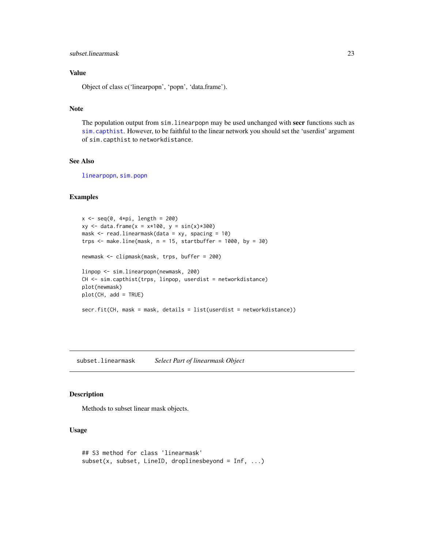## <span id="page-22-0"></span>subset.linearmask 23

## Value

Object of class c('linearpopn', 'popn', 'data.frame').

## Note

The population output from sim.linearpopn may be used unchanged with secr functions such as [sim.capthist](#page-0-0). However, to be faithful to the linear network you should set the 'userdist' argument of sim.capthist to networkdistance.

## See Also

[linearpopn](#page-12-2), [sim.popn](#page-0-0)

## Examples

```
x \leftarrow \text{seq}(0, 4 \times pi, \text{ length} = 200)xy \leq - data.frame(x = x*100, y = sin(x)*300)
mask \leq read.linearmask(data = xy, spacing = 10)
trps \leq make.line(mask, n = 15, startbuffer = 1000, by = 30)
newmask <- clipmask(mask, trps, buffer = 200)
linpop <- sim.linearpopn(newmask, 200)
CH <- sim.capthist(trps, linpop, userdist = networkdistance)
plot(newmask)
plot(CH, add = TRUE)
secr.fit(CH, mask = mask, details = list(userdist = networkdistance))
```
<span id="page-22-1"></span>subset.linearmask *Select Part of linearmask Object*

#### Description

Methods to subset linear mask objects.

## Usage

```
## S3 method for class 'linearmask'
subset(x, subset, LineID, droplinesbeyond = Inf, ...)
```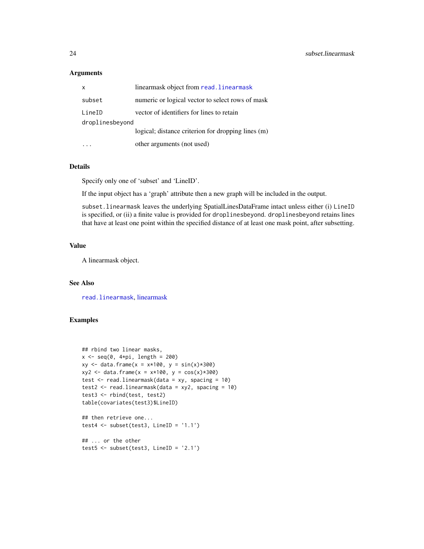## <span id="page-23-0"></span>Arguments

| х               | linearmask object from read. linearmask            |
|-----------------|----------------------------------------------------|
| subset          | numeric or logical vector to select rows of mask   |
| LineID          | vector of identifiers for lines to retain          |
| droplinesbeyond |                                                    |
|                 | logical; distance criterion for dropping lines (m) |
|                 | other arguments (not used)                         |

#### Details

Specify only one of 'subset' and 'LineID'.

If the input object has a 'graph' attribute then a new graph will be included in the output.

subset.linearmask leaves the underlying SpatialLinesDataFrame intact unless either (i) LineID is specified, or (ii) a finite value is provided for droplinesbeyond. droplinesbeyond retains lines that have at least one point within the specified distance of at least one mask point, after subsetting.

## Value

A linearmask object.

## See Also

[read.linearmask](#page-17-1), [linearmask](#page-10-1)

## Examples

```
## rbind two linear masks,
x \leftarrow \text{seq}(0, 4 \times pi, \text{ length} = 200)xy \leq - data.frame(x = x*100, y = sin(x)*300)
xyz \leq data. frame(x = x*100, y = cos(x)*300)
test <- read.linearmask(data = xy, spacing = 10)
test2 <- read.linearmask(data = xyz, spacing = 10)
test3 <- rbind(test, test2)
table(covariates(test3)$LineID)
## then retrieve one...
```

```
test4 <- subset(test3, LineID = '1.1')
```

```
## ... or the other
test5 <- subset(test3, LineID = '2.1')
```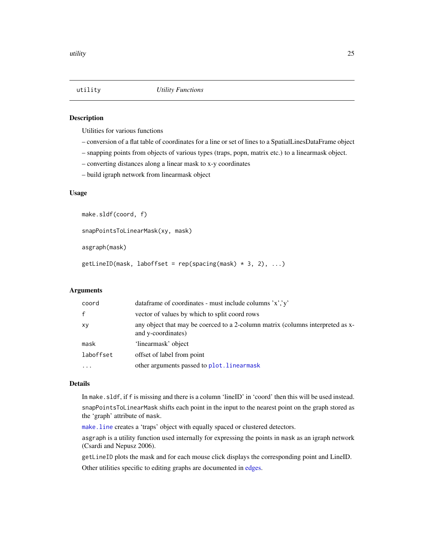<span id="page-24-0"></span>

## <span id="page-24-1"></span>Description

Utilities for various functions

- conversion of a flat table of coordinates for a line or set of lines to a SpatialLinesDataFrame object
- snapping points from objects of various types (traps, popn, matrix etc.) to a linearmask object.
- converting distances along a linear mask to x-y coordinates
- build igraph network from linearmask object

## Usage

make.sldf(coord, f)

snapPointsToLinearMask(xy, mask)

asgraph(mask)

```
getLineID(mask, laboffset = rep(spacing(mask) * 3, 2), ...)
```
## Arguments

| coord     | data frame of coordinates - must include columns $x', y'$                                            |
|-----------|------------------------------------------------------------------------------------------------------|
| f         | vector of values by which to split coord rows                                                        |
| xy        | any object that may be coerced to a 2-column matrix (columns interpreted as x-<br>and y-coordinates) |
| mask      | 'linearmask' object                                                                                  |
| laboffset | offset of label from point                                                                           |
|           | other arguments passed to plot. linearmask                                                           |

#### Details

In make.sldf, if f is missing and there is a column 'lineID' in 'coord' then this will be used instead. snapPointsToLinearMask shifts each point in the input to the nearest point on the graph stored as the 'graph' attribute of mask.

[make.line](#page-12-1) creates a 'traps' object with equally spaced or clustered detectors.

asgraph is a utility function used internally for expressing the points in mask as an igraph network (Csardi and Nepusz 2006).

getLineID plots the mask and for each mouse click displays the corresponding point and LineID.

Other utilities specific to editing graphs are documented in [edges.](#page-7-2)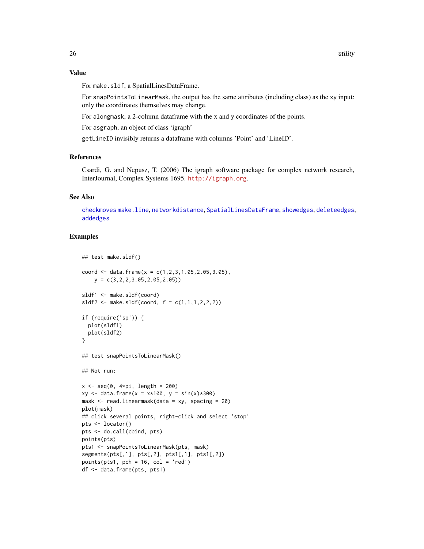## Value

For make.sldf, a SpatialLinesDataFrame.

For snapPointsToLinearMask, the output has the same attributes (including class) as the xy input: only the coordinates themselves may change.

For alongmask, a 2-column dataframe with the x and y coordinates of the points.

For asgraph, an object of class 'igraph'

getLineID invisibly returns a dataframe with columns 'Point' and 'LineID'.

## References

Csardi, G. and Nepusz, T. (2006) The igraph software package for complex network research, InterJournal, Complex Systems 1695. <http://igraph.org>.

## See Also

[checkmoves](#page-5-1) [make.line](#page-12-1), [networkdistance](#page-14-1), [SpatialLinesDataFrame](#page-0-0), [showedges](#page-7-1), [deleteedges](#page-7-1), [addedges](#page-7-1)

## Examples

```
## test make.sldf()
coord \leq data.frame(x = c(1,2,3,1.05,2.05,3.05),
    y = c(3, 2, 2, 3.05, 2.05, 2.05)sldf1 <- make.sldf(coord)
sldf2 \leq \text{make.s}ldf(\text{coord}, f = c(1,1,1,2,2,2))if (require('sp')) {
  plot(sldf1)
  plot(sldf2)
}
## test snapPointsToLinearMask()
## Not run:
x \leq -\text{seq}(0, 4 \times pi, \text{length} = 200)xy \le - data.frame(x = x*100, y = sin(x)*300)
mask <- read.linearmask(data = xy, spacing = 20)
plot(mask)
## click several points, right-click and select 'stop'
pts <- locator()
pts <- do.call(cbind, pts)
points(pts)
pts1 <- snapPointsToLinearMask(pts, mask)
segments(pts[,1], pts[,2], pts1[,1], pts1[,2])
points(pts1, pch = 16, col = 'red')df <- data.frame(pts, pts1)
```
<span id="page-25-0"></span>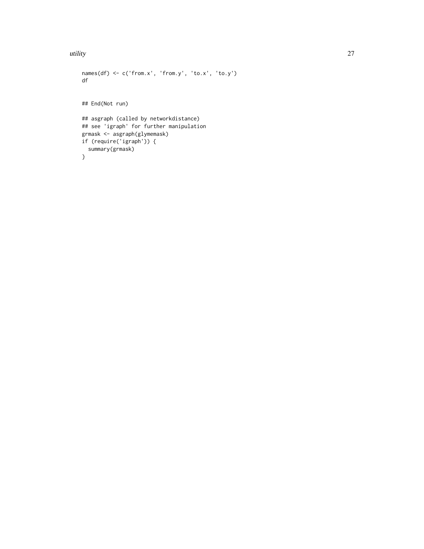#### utility 27

```
names(df) \leq c('from.x', 'from.y', 'to.x', 'to.y')df
## End(Not run)
## asgraph (called by networkdistance)
## see 'igraph' for further manipulation
grmask <- asgraph(glymemask)
if (require('igraph')) {
  summary(grmask)
}
```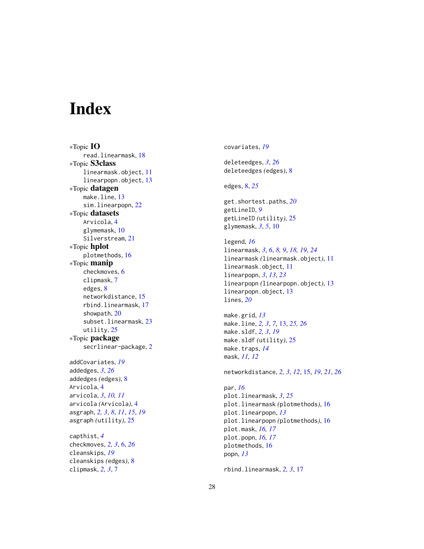# <span id="page-27-0"></span>Index

∗Topic IO read.linearmask , [18](#page-17-0) ∗Topic S3class linearmask.object , [11](#page-10-0) linearpopn.object , [13](#page-12-0) ∗Topic datagen make.line, [13](#page-12-0) sim.linearpopn , [22](#page-21-0) ∗Topic datasets Arvicola , [4](#page-3-0) glymemask , [10](#page-9-0) Silverstream, [21](#page-20-0) ∗Topic hplot plotmethods , [16](#page-15-0) ∗Topic manip checkmoves , [6](#page-5-0) clipmask , [7](#page-6-0) edges , [8](#page-7-0) networkdistance , [15](#page-14-0) rbind.linearmask , [17](#page-16-0) showpath , [20](#page-19-0) subset.linearmask , [23](#page-22-0) utility , [25](#page-24-0) ∗Topic package secrlinear-package , [2](#page-1-0) addCovariates , *[19](#page-18-0)* addedges , *[3](#page-2-0)* , *[26](#page-25-0)* addedges *(*edges *)* , [8](#page-7-0) Arvicola , [4](#page-3-0) arvicola , *[3](#page-2-0)* , *[10](#page-9-0) , [11](#page-10-0)* arvicola *(*Arvicola *)* , [4](#page-3-0) asgraph , *[2](#page-1-0) , [3](#page-2-0)* , *[8](#page-7-0)* , *[11](#page-10-0)* , *[15](#page-14-0)* , *[19](#page-18-0)* asgraph *(*utility *)* , [25](#page-24-0) capthist , *[4](#page-3-0)* checkmoves , *[2](#page-1-0) , [3](#page-2-0)* , [6](#page-5-0) , *[26](#page-25-0)* cleanskips , *[19](#page-18-0)* cleanskips *(*edges *)* , [8](#page-7-0)

clipmask , *[2](#page-1-0) , [3](#page-2-0)* , [7](#page-6-0)

covariates , *[19](#page-18-0)* deleteedges , *[3](#page-2-0)* , *[26](#page-25-0)* deleteedges *(*edges *)* , [8](#page-7-0) edges , [8](#page-7-0) , *[25](#page-24-0)* get.shortest.paths , *[20](#page-19-0)* getLineID , *[9](#page-8-0)* getLineID *(*utility *)* , [25](#page-24-0) glymemask , *[3](#page-2-0)* , *[5](#page-4-0)* , [10](#page-9-0) legend , *[16](#page-15-0)* linearmask , *[3](#page-2-0)* , *[6](#page-5-0)* , *[8](#page-7-0) , [9](#page-8-0)* , *[18](#page-17-0) , [19](#page-18-0)* , *[24](#page-23-0)* linearmask *(*linearmask.object *)* , [11](#page-10-0) linearmask.object , [11](#page-10-0) linearpopn , *[3](#page-2-0)* , *[13](#page-12-0)* , *[23](#page-22-0)* linearpopn *(*linearpopn.object *)* , [13](#page-12-0) linearpopn.object , [13](#page-12-0) lines , *[20](#page-19-0)* make.grid , *[13](#page-12-0)* make.line , *[2](#page-1-0) , [3](#page-2-0)* , *[7](#page-6-0)* , [13](#page-12-0) , *[25](#page-24-0) , [26](#page-25-0)* make.sldf , *[2](#page-1-0) , [3](#page-2-0)* , *[19](#page-18-0)* make.sldf *(*utility *)* , [25](#page-24-0) make.traps , *[14](#page-13-0)* mask , *[11](#page-10-0) , [12](#page-11-0)* networkdistance , *[2](#page-1-0) , [3](#page-2-0)* , *[12](#page-11-0)* , [15](#page-14-0) , *[19](#page-18-0)* , *[21](#page-20-0)* , *[26](#page-25-0)* par , *[16](#page-15-0)* plot.linearmask , *[3](#page-2-0)* , *[25](#page-24-0)* plot.linearmask *(*plotmethods *)* , [16](#page-15-0) plot.linearpopn , *[13](#page-12-0)* plot.linearpopn *(*plotmethods *)* , [16](#page-15-0) plot.mask , *[16,](#page-15-0) [17](#page-16-0)* plot.popn , *[16,](#page-15-0) [17](#page-16-0)* plotmethods , [16](#page-15-0) popn , *[13](#page-12-0)*

rbind.linearmask , *[2](#page-1-0) , [3](#page-2-0)* , [17](#page-16-0)